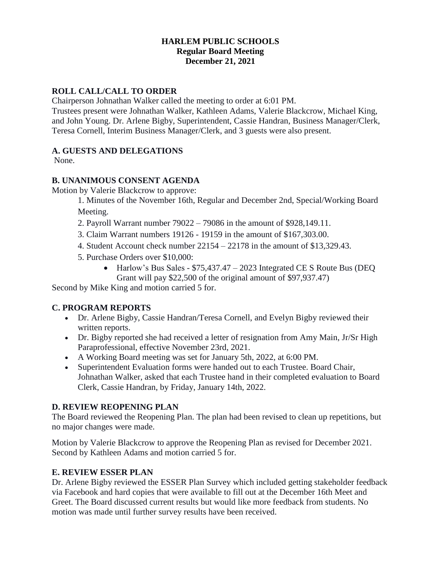# **HARLEM PUBLIC SCHOOLS Regular Board Meeting December 21, 2021**

# **ROLL CALL/CALL TO ORDER**

Chairperson Johnathan Walker called the meeting to order at 6:01 PM.

Trustees present were Johnathan Walker, Kathleen Adams, Valerie Blackcrow, Michael King, and John Young. Dr. Arlene Bigby, Superintendent, Cassie Handran, Business Manager/Clerk, Teresa Cornell, Interim Business Manager/Clerk, and 3 guests were also present.

# **A. GUESTS AND DELEGATIONS**

None.

# **B. UNANIMOUS CONSENT AGENDA**

Motion by Valerie Blackcrow to approve:

1. Minutes of the November 16th, Regular and December 2nd, Special/Working Board Meeting.

- 2. Payroll Warrant number 79022 79086 in the amount of \$928,149.11.
- 3. Claim Warrant numbers 19126 19159 in the amount of \$167,303.00.
- 4. Student Account check number 22154 22178 in the amount of \$13,329.43.
- 5. Purchase Orders over \$10,000:
	- Harlow's Bus Sales \$75,437.47 2023 Integrated CE S Route Bus (DEQ) Grant will pay \$22,500 of the original amount of \$97,937.47)

Second by Mike King and motion carried 5 for.

# **C. PROGRAM REPORTS**

- Dr. Arlene Bigby, Cassie Handran/Teresa Cornell, and Evelyn Bigby reviewed their written reports.
- Dr. Bigby reported she had received a letter of resignation from Amy Main, Jr/Sr High Paraprofessional, effective November 23rd, 2021.
- A Working Board meeting was set for January 5th, 2022, at 6:00 PM.
- Superintendent Evaluation forms were handed out to each Trustee. Board Chair, Johnathan Walker, asked that each Trustee hand in their completed evaluation to Board Clerk, Cassie Handran, by Friday, January 14th, 2022.

# **D. REVIEW REOPENING PLAN**

The Board reviewed the Reopening Plan. The plan had been revised to clean up repetitions, but no major changes were made.

Motion by Valerie Blackcrow to approve the Reopening Plan as revised for December 2021. Second by Kathleen Adams and motion carried 5 for.

# **E. REVIEW ESSER PLAN**

Dr. Arlene Bigby reviewed the ESSER Plan Survey which included getting stakeholder feedback via Facebook and hard copies that were available to fill out at the December 16th Meet and Greet. The Board discussed current results but would like more feedback from students. No motion was made until further survey results have been received.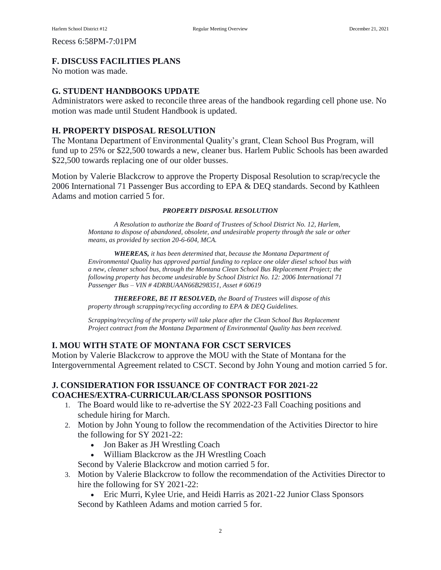Recess 6:58PM-7:01PM

## **F. DISCUSS FACILITIES PLANS**

No motion was made.

## **G. STUDENT HANDBOOKS UPDATE**

Administrators were asked to reconcile three areas of the handbook regarding cell phone use. No motion was made until Student Handbook is updated.

## **H. PROPERTY DISPOSAL RESOLUTION**

The Montana Department of Environmental Quality's grant, Clean School Bus Program, will fund up to 25% or \$22,500 towards a new, cleaner bus. Harlem Public Schools has been awarded \$22,500 towards replacing one of our older busses.

Motion by Valerie Blackcrow to approve the Property Disposal Resolution to scrap/recycle the 2006 International 71 Passenger Bus according to EPA & DEQ standards. Second by Kathleen Adams and motion carried 5 for.

#### *PROPERTY DISPOSAL RESOLUTION*

*A Resolution to authorize the Board of Trustees of School District No. 12, Harlem, Montana to dispose of abandoned, obsolete, and undesirable property through the sale or other means, as provided by section 20-6-604, MCA.*

*WHEREAS, it has been determined that, because the Montana Department of Environmental Quality has approved partial funding to replace one older diesel school bus with a new, cleaner school bus, through the Montana Clean School Bus Replacement Project; the following property has become undesirable by School District No. 12: 2006 International 71 Passenger Bus – VIN # 4DRBUAAN66B298351, Asset # 60619*

*THEREFORE, BE IT RESOLVED, the Board of Trustees will dispose of this property through scrapping/recycling according to EPA & DEQ Guidelines.*

*Scrapping/recycling of the property will take place after the Clean School Bus Replacement Project contract from the Montana Department of Environmental Quality has been received.*

### **I. MOU WITH STATE OF MONTANA FOR CSCT SERVICES**

Motion by Valerie Blackcrow to approve the MOU with the State of Montana for the Intergovernmental Agreement related to CSCT. Second by John Young and motion carried 5 for.

## **J. CONSIDERATION FOR ISSUANCE OF CONTRACT FOR 2021-22 COACHES/EXTRA-CURRICULAR/CLASS SPONSOR POSITIONS**

- 1. The Board would like to re-advertise the SY 2022-23 Fall Coaching positions and schedule hiring for March.
- 2. Motion by John Young to follow the recommendation of the Activities Director to hire the following for SY 2021-22:
	- Jon Baker as JH Wrestling Coach
	- William Blackcrow as the JH Wrestling Coach

Second by Valerie Blackcrow and motion carried 5 for.

- 3. Motion by Valerie Blackcrow to follow the recommendation of the Activities Director to hire the following for SY 2021-22:
	- Eric Murri, Kylee Urie, and Heidi Harris as 2021-22 Junior Class Sponsors Second by Kathleen Adams and motion carried 5 for.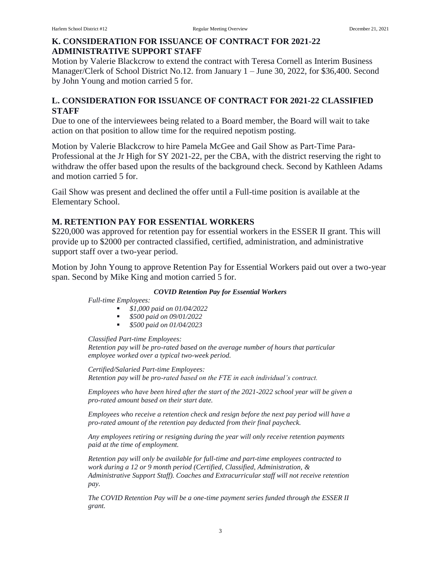# **K. CONSIDERATION FOR ISSUANCE OF CONTRACT FOR 2021-22 ADMINISTRATIVE SUPPORT STAFF**

Motion by Valerie Blackcrow to extend the contract with Teresa Cornell as Interim Business Manager/Clerk of School District No.12. from January 1 – June 30, 2022, for \$36,400. Second by John Young and motion carried 5 for.

# **L. CONSIDERATION FOR ISSUANCE OF CONTRACT FOR 2021-22 CLASSIFIED STAFF**

Due to one of the interviewees being related to a Board member, the Board will wait to take action on that position to allow time for the required nepotism posting.

Motion by Valerie Blackcrow to hire Pamela McGee and Gail Show as Part-Time Para-Professional at the Jr High for SY 2021-22, per the CBA, with the district reserving the right to withdraw the offer based upon the results of the background check. Second by Kathleen Adams and motion carried 5 for.

Gail Show was present and declined the offer until a Full-time position is available at the Elementary School.

# **M. RETENTION PAY FOR ESSENTIAL WORKERS**

\$220,000 was approved for retention pay for essential workers in the ESSER II grant. This will provide up to \$2000 per contracted classified, certified, administration, and administrative support staff over a two-year period.

Motion by John Young to approve Retention Pay for Essential Workers paid out over a two-year span. Second by Mike King and motion carried 5 for.

### *COVID Retention Pay for Essential Workers*

*Full-time Employees:*

- *\$1,000 paid on 01/04/2022*
- *\$500 paid on 09/01/2022*
- *\$500 paid on 01/04/2023*

*Classified Part-time Employees: Retention pay will be pro-rated based on the average number of hours that particular employee worked over a typical two-week period.*

*Certified/Salaried Part-time Employees: Retention pay will be pro-rated based on the FTE in each individual's contract.*

*Employees who have been hired after the start of the 2021-2022 school year will be given a pro-rated amount based on their start date.*

*Employees who receive a retention check and resign before the next pay period will have a pro-rated amount of the retention pay deducted from their final paycheck.*

*Any employees retiring or resigning during the year will only receive retention payments paid at the time of employment.*

*Retention pay will only be available for full-time and part-time employees contracted to work during a 12 or 9 month period (Certified, Classified, Administration, & Administrative Support Staff). Coaches and Extracurricular staff will not receive retention pay.*

*The COVID Retention Pay will be a one-time payment series funded through the ESSER II grant.*